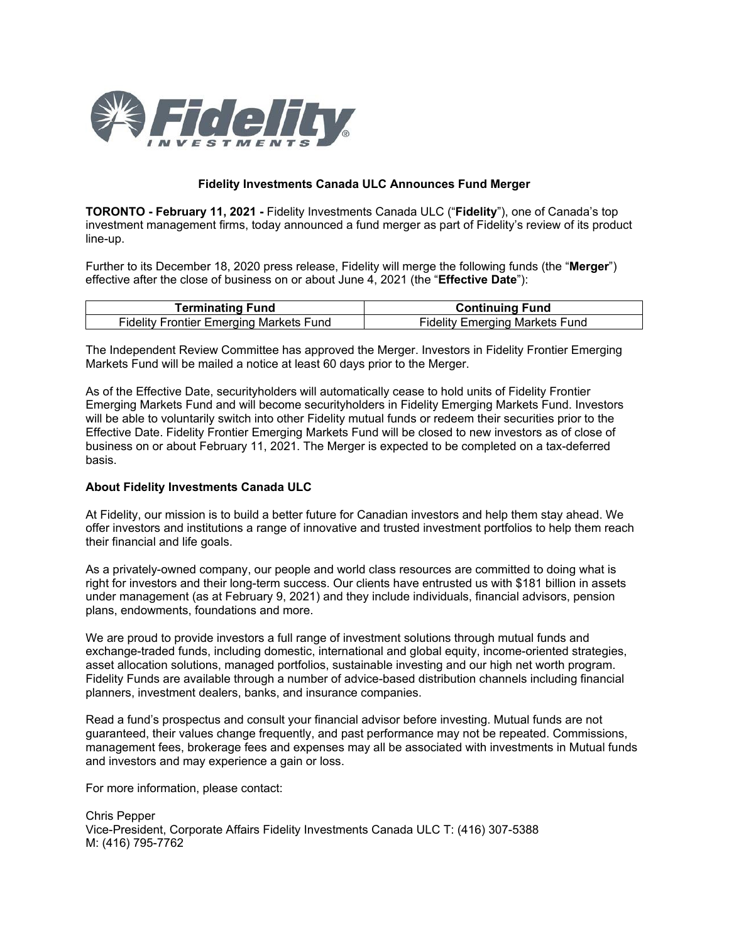

## **Fidelity Investments Canada ULC Announces Fund Merger**

**TORONTO - February 11, 2021 -** Fidelity Investments Canada ULC ("**Fidelity**"), one of Canada's top investment management firms, today announced a fund merger as part of Fidelity's review of its product line-up.

Further to its December 18, 2020 press release, Fidelity will merge the following funds (the "**Merger**") effective after the close of business on or about June 4, 2021 (the "**Effective Date**"):

| <b>Ferminating Fund</b>                        | <b>Continuing Fund</b>                |
|------------------------------------------------|---------------------------------------|
| <b>Fidelity Frontier Emerging Markets Fund</b> | <b>Fidelity Emerging Markets Fund</b> |

The Independent Review Committee has approved the Merger. Investors in Fidelity Frontier Emerging Markets Fund will be mailed a notice at least 60 days prior to the Merger.

As of the Effective Date, securityholders will automatically cease to hold units of Fidelity Frontier Emerging Markets Fund and will become securityholders in Fidelity Emerging Markets Fund. Investors will be able to voluntarily switch into other Fidelity mutual funds or redeem their securities prior to the Effective Date. Fidelity Frontier Emerging Markets Fund will be closed to new investors as of close of business on or about February 11, 2021. The Merger is expected to be completed on a tax-deferred basis.

## **About Fidelity Investments Canada ULC**

At Fidelity, our mission is to build a better future for Canadian investors and help them stay ahead. We offer investors and institutions a range of innovative and trusted investment portfolios to help them reach their financial and life goals.

As a privately-owned company, our people and world class resources are committed to doing what is right for investors and their long-term success. Our clients have entrusted us with \$181 billion in assets under management (as at February 9, 2021) and they include individuals, financial advisors, pension plans, endowments, foundations and more.

We are proud to provide investors a full range of investment solutions through mutual funds and exchange-traded funds, including domestic, international and global equity, income-oriented strategies, asset allocation solutions, managed portfolios, sustainable investing and our high net worth program. Fidelity Funds are available through a number of advice-based distribution channels including financial planners, investment dealers, banks, and insurance companies.

Read a fund's prospectus and consult your financial advisor before investing. Mutual funds are not guaranteed, their values change frequently, and past performance may not be repeated. Commissions, management fees, brokerage fees and expenses may all be associated with investments in Mutual funds and investors and may experience a gain or loss.

For more information, please contact:

Chris Pepper Vice-President, Corporate Affairs Fidelity Investments Canada ULC T: (416) 307-5388 M: (416) 795-7762